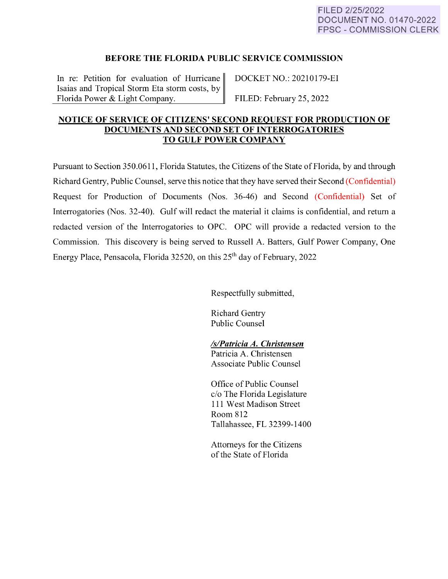## **BEFORE THE FLORIDA PUBLIC SERVICE COMMISSION**

In re: Petition for evaluation of Hurricane DOCKET NO.: 20210179-EI Isaias and Tropical Storm Eta storm costs, by Florida Power & Light Company. FILED: February 25, 2022

## **NOTICE OF SERVICE OF CITIZENS' SECOND REQUEST FOR PRODUCTION OF DOCUMENTS AND SECOND SET OF INTERROGATORIES TO GULF POWER COMPANY**

Pursuant to Section 350.0611, Florida Statutes, the Citizens of the State of Florida, by and through Richard Gentry, Public Counsel, serve this notice that they have served their Second (Confidential) Request for Production of Documents (Nos. 36-46) and Second (Confidential) Set of Interrogatories (Nos. 32-40). Gulf will redact the material it claims is confidential, and return a redacted version of the Interrogatories to OPC. OPC will provide a redacted version to the Commission. This discovery is being served to Russell A. Batters, Gulf Power Company, One Energy Place, Pensacola, Florida 32520, on this 25th day of February, 2022

Respectfully submitted,

Richard Gentry Public Counsel

## *ls/Patricia A. Christensen*

Patricia A. Christensen Associate Public Counsel

Office of Public Counsel c/o The Florida Legislature 111 West Madison Street Room 812 Tallahassee, FL 32399-1400

Attorneys for the Citizens of the State of Florida